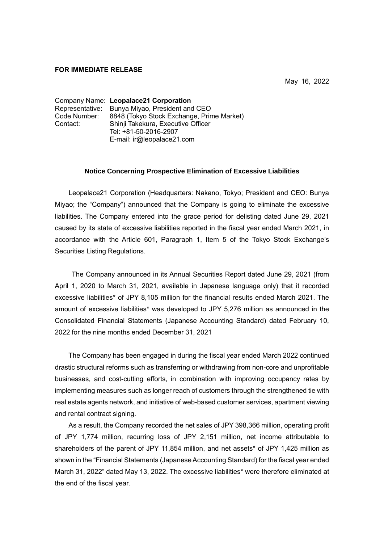## **FOR IMMEDIATE RELEASE**

May 16, 2022

Company Name: **Leopalace21 Corporation** Representative: Bunya Miyao, President and CEO Code Number: 8848 (Tokyo Stock Exchange, Prime Market) Contact: Shinji Takekura, Executive Officer Tel: +81-50-2016-2907 E-mail: ir@leopalace21.com

## **Notice Concerning Prospective Elimination of Excessive Liabilities**

Leopalace21 Corporation (Headquarters: Nakano, Tokyo; President and CEO: Bunya Miyao; the "Company") announced that the Company is going to eliminate the excessive liabilities. The Company entered into the grace period for delisting dated June 29, 2021 caused by its state of excessive liabilities reported in the fiscal year ended March 2021, in accordance with the Article 601, Paragraph 1, Item 5 of the Tokyo Stock Exchange's Securities Listing Regulations.

The Company announced in its Annual Securities Report dated June 29, 2021 (from April 1, 2020 to March 31, 2021, available in Japanese language only) that it recorded excessive liabilities\* of JPY 8,105 million for the financial results ended March 2021. The amount of excessive liabilities\* was developed to JPY 5,276 million as announced in the Consolidated Financial Statements (Japanese Accounting Standard) dated February 10, 2022 for the nine months ended December 31, 2021

The Company has been engaged in during the fiscal year ended March 2022 continued drastic structural reforms such as transferring or withdrawing from non-core and unprofitable businesses, and cost-cutting efforts, in combination with improving occupancy rates by implementing measures such as longer reach of customers through the strengthened tie with real estate agents network, and initiative of web-based customer services, apartment viewing and rental contract signing.

As a result, the Company recorded the net sales of JPY 398,366 million, operating profit of JPY 1,774 million, recurring loss of JPY 2,151 million, net income attributable to shareholders of the parent of JPY 11,854 million, and net assets\* of JPY 1,425 million as shown in the "Financial Statements (Japanese Accounting Standard) for the fiscal year ended March 31, 2022" dated May 13, 2022. The excessive liabilities\* were therefore eliminated at the end of the fiscal year.